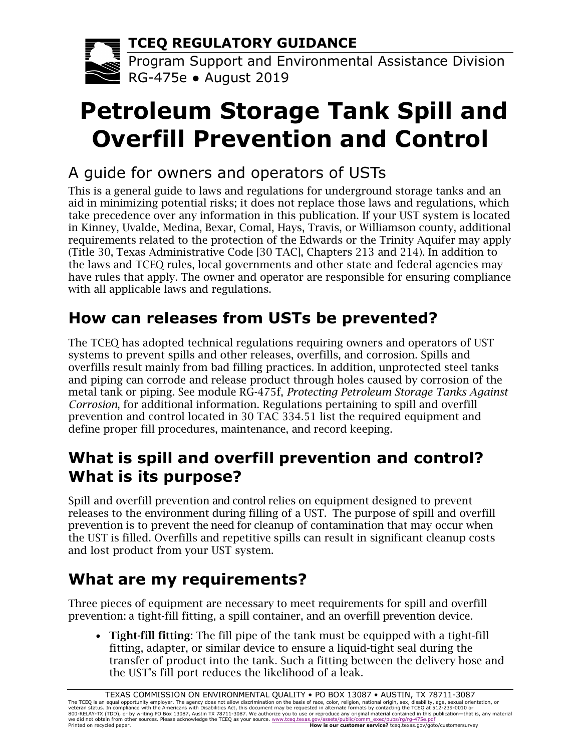**TCEQ REGULATORY GUIDANCE**



Program Support and Environmental Assistance Division RG-475e ● August 2019

# **Petroleum Storage Tank Spill and Overfill Prevention and Control**

# A guide for owners and operators of USTs

This is a general guide to laws and regulations for underground storage tanks and an aid in minimizing potential risks; it does not replace those laws and regulations, which take precedence over any information in this publication. If your UST system is located in Kinney, Uvalde, Medina, Bexar, Comal, Hays, Travis, or Williamson county, additional requirements related to the protection of the Edwards or the Trinity Aquifer may apply (Title 30, Texas Administrative Code [30 TAC], Chapters 213 and 214). In addition to the laws and TCEQ rules, local governments and other state and federal agencies may have rules that apply. The owner and operator are responsible for ensuring compliance with all applicable laws and regulations.

# **How can releases from USTs be prevented?**

The TCEQ has adopted technical regulations requiring owners and operators of UST systems to prevent spills and other releases, overfills, and corrosion. Spills and overfills result mainly from bad filling practices. In addition, unprotected steel tanks and piping can corrode and release product through holes caused by corrosion of the metal tank or piping. See module RG-475f, *Protecting Petroleum Storage Tanks Against Corrosion*, for additional information. Regulations pertaining to spill and overfill prevention and control located in 30 TAC 334.51 list the required equipment and define proper fill procedures, maintenance, and record keeping.

# **What is spill and overfill prevention and control? What is its purpose?**

Spill and overfill prevention and control relies on equipment designed to prevent releases to the environment during filling of a UST. The purpose of spill and overfill prevention is to prevent the need for cleanup of contamination that may occur when the UST is filled. Overfills and repetitive spills can result in significant cleanup costs and lost product from your UST system.

# **What are my requirements?**

Three pieces of equipment are necessary to meet requirements for spill and overfill prevention: a tight-fill fitting, a spill container, and an overfill prevention device.

• Tight-fill fitting: The fill pipe of the tank must be equipped with a tight-fill fitting, adapter, or similar device to ensure a liquid-tight seal during the transfer of product into the tank. Such a fitting between the delivery hose and the UST's fill port reduces the likelihood of a leak.

TEXAS COMMISSION ON ENVIRONMENTAL QUALITY • PO BOX 13087 • AUSTIN, TX 78711-3087<br>The TCEQ is an equal opportunity employer. The agency does not allow discrimination on the basis of race, color, religion, national origin, s veteran status. In compliance with the Americans with Disabilities Act, this document may be requested in altemate formats by contacting the TCEQ at 512-239-0010 or<br>800-RELAY-TX (TDD), or by writing PO Box 13087, Austin TX Printed on recycled paper. **How is our customer service?** [tceq.texas.gov/goto/customersurvey](http://tceq.texas.gov/goto/customersurvey)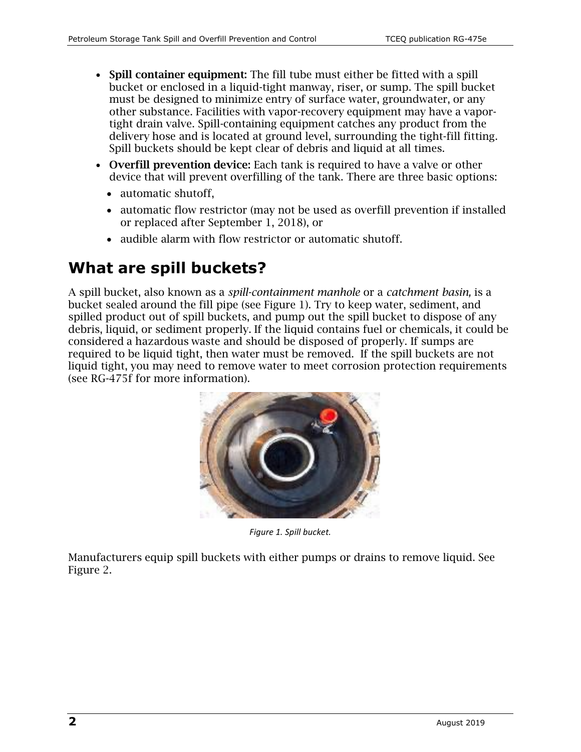- Spill container equipment: The fill tube must either be fitted with a spill bucket or enclosed in a liquid-tight manway, riser, or sump. The spill bucket must be designed to minimize entry of surface water, groundwater, or any other substance. Facilities with vapor-recovery equipment may have a vaportight drain valve. Spill-containing equipment catches any product from the delivery hose and is located at ground level, surrounding the tight-fill fitting. Spill buckets should be kept clear of debris and liquid at all times.
- Overfill prevention device: Each tank is required to have a valve or other device that will prevent overfilling of the tank. There are three basic options:
	- automatic shutoff.
	- automatic flow restrictor (may not be used as overfill prevention if installed or replaced after September 1, 2018), or
	- audible alarm with flow restrictor or automatic shutoff.

#### **What are spill buckets?**

A spill bucket, also known as a *spill-containment manhole* or a *catchment basin,* is a bucket sealed around the fill pipe (see Figure 1). Try to keep water, sediment, and spilled product out of spill buckets, and pump out the spill bucket to dispose of any debris, liquid, or sediment properly. If the liquid contains fuel or chemicals, it could be considered a hazardous waste and should be disposed of properly. If sumps are required to be liquid tight, then water must be removed. If the spill buckets are not liquid tight, you may need to remove water to meet corrosion protection requirements (see RG-475f for more information).



*Figure 1. Spill bucket.*

Manufacturers equip spill buckets with either pumps or drains to remove liquid. See Figure 2.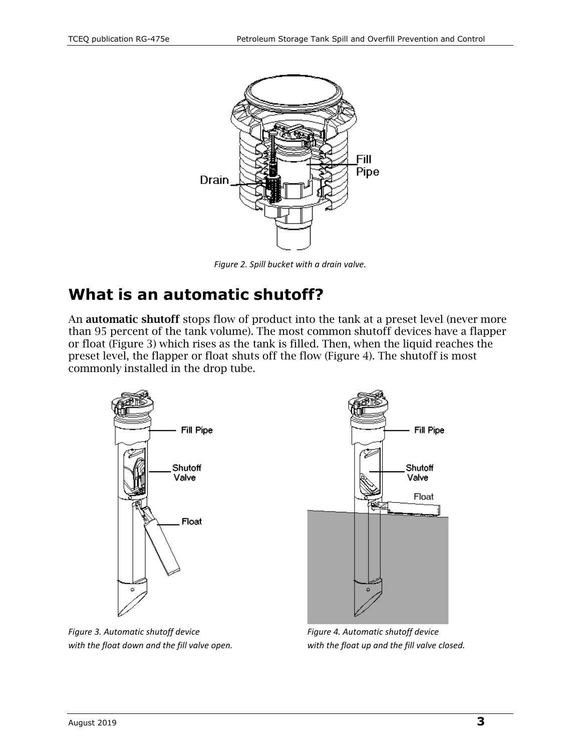

*Figure 2. Spill bucket with a drain valve.*

### **What is an automatic shutoff?**

An automatic shutoff stops flow of product into the tank at a preset level (never more than 95 percent of the tank volume). The most common shutoff devices have a flapper or float (Figure 3) which rises as the tank is filled. Then, when the liquid reaches the preset level, the flapper or float shuts off the flow (Figure 4). The shutoff is most commonly installed in the drop tube.



*Figure 3. Automatic shutoff device Figure 4. Automatic shutoff device with the float down and the fill valve open. with the float up and the fill valve closed.*

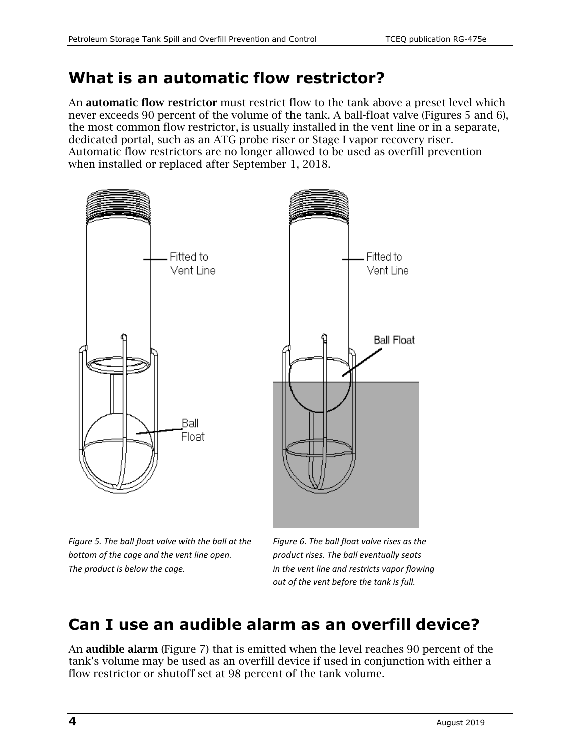#### **What is an automatic flow restrictor?**

An **automatic flow restrictor** must restrict flow to the tank above a preset level which never exceeds 90 percent of the volume of the tank. A ball-float valve (Figures 5 and 6), the most common flow restrictor, is usually installed in the vent line or in a separate, dedicated portal, such as an ATG probe riser or Stage I vapor recovery riser. Automatic flow restrictors are no longer allowed to be used as overfill prevention when installed or replaced after September 1, 2018.



*Figure 5. The ball float valve with the ball at the Figure 6. The ball float valve rises as the bottom of the cage and the vent line open. product rises. The ball eventually seats The product is below the cage. in the vent line and restricts vapor flowing* 

*out of the vent before the tank is full.*

## **Can I use an audible alarm as an overfill device?**

An audible alarm (Figure 7) that is emitted when the level reaches 90 percent of the tank's volume may be used as an overfill device if used in conjunction with either a flow restrictor or shutoff set at 98 percent of the tank volume.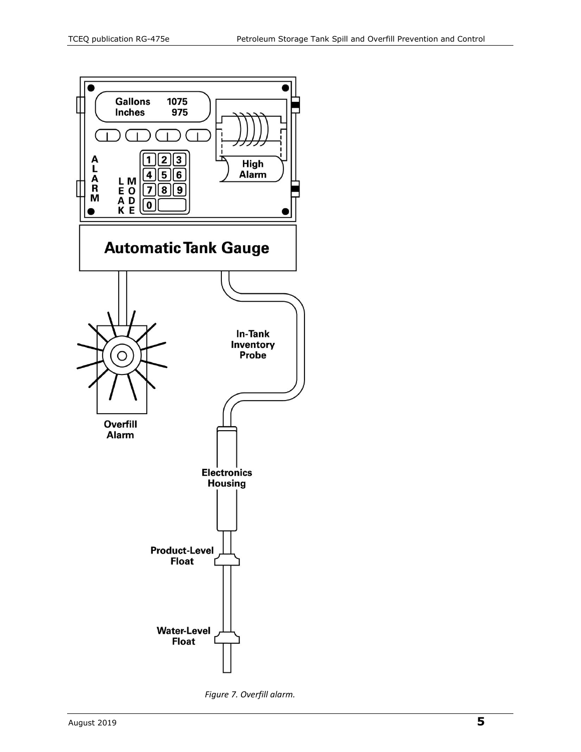

*Figure 7. Overfill alarm.*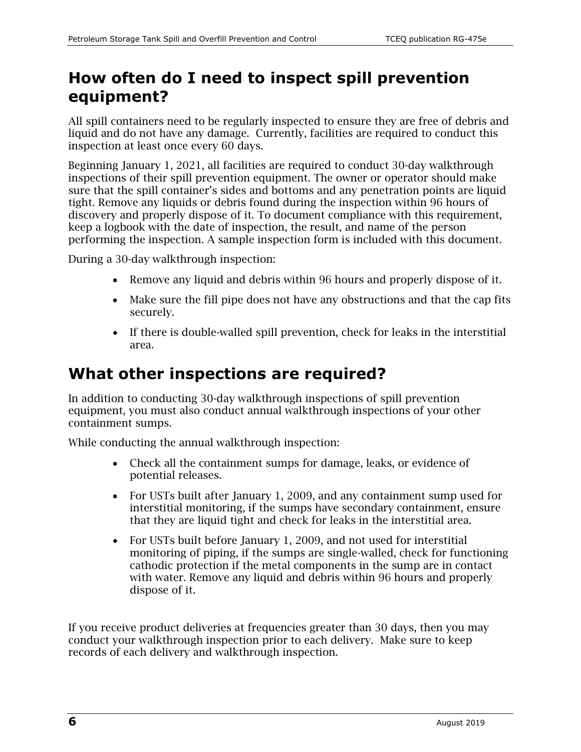#### **How often do I need to inspect spill prevention equipment?**

All spill containers need to be regularly inspected to ensure they are free of debris and liquid and do not have any damage. Currently, facilities are required to conduct this inspection at least once every 60 days.

Beginning January 1, 2021, all facilities are required to conduct 30-day walkthrough inspections of their spill prevention equipment. The owner or operator should make sure that the spill container's sides and bottoms and any penetration points are liquid tight. Remove any liquids or debris found during the inspection within 96 hours of discovery and properly dispose of it. To document compliance with this requirement, keep a logbook with the date of inspection, the result, and name of the person performing the inspection. A sample inspection form is included with this document.

During a 30-day walkthrough inspection:

- Remove any liquid and debris within 96 hours and properly dispose of it.
- Make sure the fill pipe does not have any obstructions and that the cap fits securely.
- If there is double-walled spill prevention, check for leaks in the interstitial area.

### **What other inspections are required?**

In addition to conducting 30-day walkthrough inspections of spill prevention equipment, you must also conduct annual walkthrough inspections of your other containment sumps.

While conducting the annual walkthrough inspection:

- Check all the containment sumps for damage, leaks, or evidence of potential releases.
- For USTs built after January 1, 2009, and any containment sump used for interstitial monitoring, if the sumps have secondary containment, ensure that they are liquid tight and check for leaks in the interstitial area.
- For USTs built before January 1, 2009, and not used for interstitial monitoring of piping, if the sumps are single-walled, check for functioning cathodic protection if the metal components in the sump are in contact with water. Remove any liquid and debris within 96 hours and properly dispose of it.

If you receive product deliveries at frequencies greater than 30 days, then you may conduct your walkthrough inspection prior to each delivery. Make sure to keep records of each delivery and walkthrough inspection.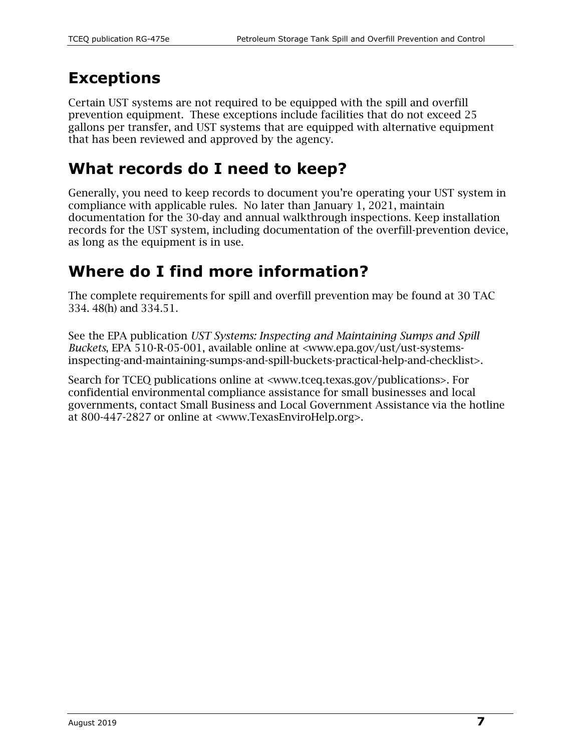### **Exceptions**

Certain UST systems are not required to be equipped with the spill and overfill prevention equipment. These exceptions include facilities that do not exceed 25 gallons per transfer, and UST systems that are equipped with alternative equipment that has been reviewed and approved by the agency.

# **What records do I need to keep?**

Generally, you need to keep records to document you're operating your UST system in compliance with applicable rules. No later than January 1, 2021, maintain documentation for the 30-day and annual walkthrough inspections. Keep installation records for the UST system, including documentation of the overfill-prevention device, as long as the equipment is in use.

# **Where do I find more information?**

The complete requirements for spill and overfill prevention may be found at 30 TAC 334. 48(h) and 334.51.

See the EPA publication *UST Systems: Inspecting and Maintaining Sumps and Spill Buckets*, EPA 510-R-05-001, available online at [<www.epa.gov/ust/ust-systems](https://www.epa.gov/ust/ust-systems-inspecting-and-maintaining-sumps-and-spill-buckets-practical-help-and-checklist)[inspecting-and-maintaining-sumps-and-spill-buckets-practical-help-and-checklist>](https://www.epa.gov/ust/ust-systems-inspecting-and-maintaining-sumps-and-spill-buckets-practical-help-and-checklist).

Search for TCEQ publications online at [<www.tceq.texas.gov/publications>](http://www.tceq.texas.gov/publications). For confidential environmental compliance assistance for small businesses and local governments, contact Small Business and Local Government Assistance via the hotline at 800-447-2827 or online at [<www.TexasEnviroHelp.org>](http://www.texasenvirohelp.org/).